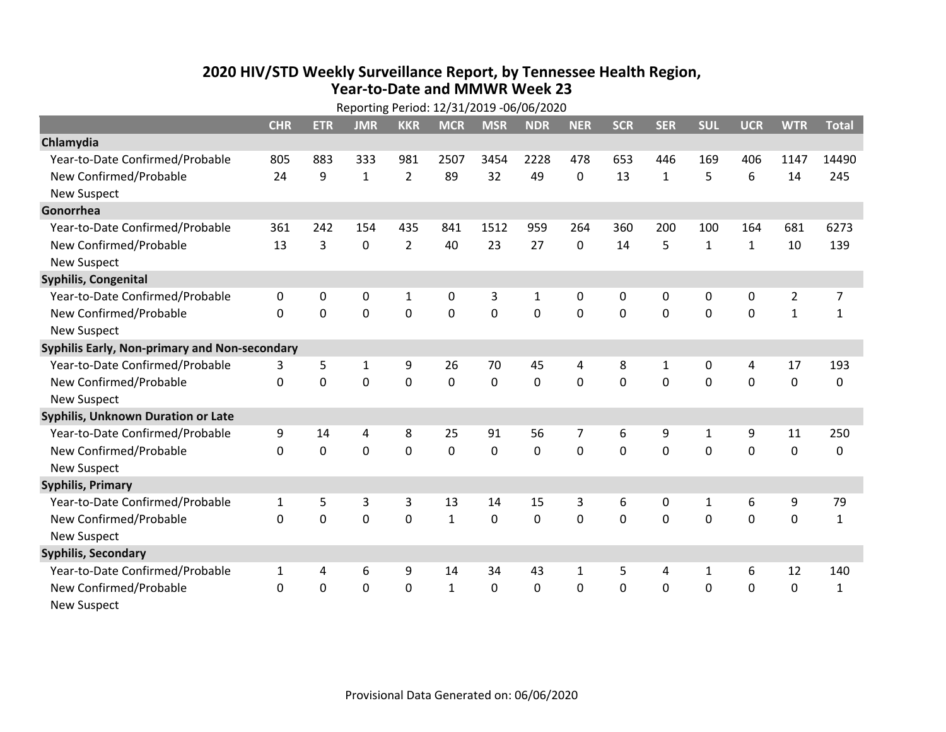## **2020 HIV /STD Weekly Surveillance Report, by Tennessee Health Region, Year‐to‐Date and MMWR Week 23**

| Reporting Period: 12/31/2019 -06/06/2020      |              |            |              |                |              |                |              |            |            |                |              |                |                  |                |
|-----------------------------------------------|--------------|------------|--------------|----------------|--------------|----------------|--------------|------------|------------|----------------|--------------|----------------|------------------|----------------|
|                                               | <b>CHR</b>   | <b>ETR</b> | <b>JMR</b>   | <b>KKR</b>     | <b>MCR</b>   | <b>MSR</b>     | <b>NDR</b>   | <b>NER</b> | <b>SCR</b> | <b>SER</b>     | <b>SUL</b>   | <b>UCR</b>     | <b>WTR</b>       | <b>Total</b>   |
| Chlamydia                                     |              |            |              |                |              |                |              |            |            |                |              |                |                  |                |
| Year-to-Date Confirmed/Probable               | 805          | 883        | 333          | 981            | 2507         | 3454           | 2228         | 478        | 653        | 446            | 169          | 406            | 1147             | 14490          |
| New Confirmed/Probable                        | 24           | 9          | $\mathbf{1}$ | $\overline{2}$ | 89           | 32             | 49           | 0          | 13         | 1              | 5            | 6              | 14               | 245            |
| <b>New Suspect</b>                            |              |            |              |                |              |                |              |            |            |                |              |                |                  |                |
| Gonorrhea                                     |              |            |              |                |              |                |              |            |            |                |              |                |                  |                |
| Year-to-Date Confirmed/Probable               | 361          | 242        | 154          | 435            | 841          | 1512           | 959          | 264        | 360        | 200            | 100          | 164            | 681              | 6273           |
| New Confirmed/Probable                        | 13           | 3          | $\mathbf 0$  | $\overline{2}$ | 40           | 23             | 27           | $\Omega$   | 14         | 5              | $\mathbf{1}$ | $\mathbf{1}$   | 10               | 139            |
| <b>New Suspect</b>                            |              |            |              |                |              |                |              |            |            |                |              |                |                  |                |
| <b>Syphilis, Congenital</b>                   |              |            |              |                |              |                |              |            |            |                |              |                |                  |                |
| Year-to-Date Confirmed/Probable               | 0            | 0          | $\mathbf 0$  | $\mathbf{1}$   | 0            | 3              | $\mathbf{1}$ | 0          | 0          | 0              | $\mathbf 0$  | 0              | $\overline{2}$   | $\overline{7}$ |
| New Confirmed/Probable                        | 0            | 0          | $\mathbf 0$  | 0              | $\mathbf 0$  | $\overline{0}$ | 0            | 0          | 0          | 0              | $\mathbf 0$  | 0              | $\mathbf{1}$     | $\mathbf{1}$   |
| <b>New Suspect</b>                            |              |            |              |                |              |                |              |            |            |                |              |                |                  |                |
| Syphilis Early, Non-primary and Non-secondary |              |            |              |                |              |                |              |            |            |                |              |                |                  |                |
| Year-to-Date Confirmed/Probable               | 3            | 5          | 1            | 9              | 26           | 70             | 45           | 4          | 8          | 1              | 0            | 4              | 17               | 193            |
| New Confirmed/Probable                        | 0            | 0          | $\mathbf 0$  | $\mathbf 0$    | $\mathbf 0$  | $\mathbf 0$    | 0            | 0          | 0          | $\mathbf 0$    | $\mathbf 0$  | 0              | $\pmb{0}$        | 0              |
| <b>New Suspect</b>                            |              |            |              |                |              |                |              |            |            |                |              |                |                  |                |
| <b>Syphilis, Unknown Duration or Late</b>     |              |            |              |                |              |                |              |            |            |                |              |                |                  |                |
| Year-to-Date Confirmed/Probable               | 9            | 14         | 4            | 8              | 25           | 91             | 56           | 7          | 6          | 9              | 1            | 9              | 11               | 250            |
| New Confirmed/Probable                        | 0            | 0          | $\mathbf 0$  | $\overline{0}$ | $\mathbf 0$  | $\mathbf 0$    | 0            | $\Omega$   | $\Omega$   | $\overline{0}$ | 0            | $\overline{0}$ | $\mathbf 0$      | 0              |
| <b>New Suspect</b>                            |              |            |              |                |              |                |              |            |            |                |              |                |                  |                |
| <b>Syphilis, Primary</b>                      |              |            |              |                |              |                |              |            |            |                |              |                |                  |                |
| Year-to-Date Confirmed/Probable               | $\mathbf{1}$ | 5          | 3            | 3              | 13           | 14             | 15           | 3          | 6          | 0              | $\mathbf{1}$ | 6              | $\boldsymbol{9}$ | 79             |
| New Confirmed/Probable                        | $\mathbf 0$  | 0          | $\mathbf 0$  | 0              | $\mathbf{1}$ | 0              | 0            | $\Omega$   | 0          | $\mathbf 0$    | 0            | 0              | $\mathbf 0$      | $\mathbf{1}$   |
| <b>New Suspect</b>                            |              |            |              |                |              |                |              |            |            |                |              |                |                  |                |
| <b>Syphilis, Secondary</b>                    |              |            |              |                |              |                |              |            |            |                |              |                |                  |                |
| Year-to-Date Confirmed/Probable               | $\mathbf{1}$ | 4          | 6            | 9              | 14           | 34             | 43           | 1          | 5          | 4              | 1            | 6              | 12               | 140            |
| New Confirmed/Probable                        | 0            | 0          | $\mathbf 0$  | 0              | $\mathbf{1}$ | $\mathbf 0$    | 0            | 0          | 0          | $\mathbf 0$    | 0            | 0              | $\mathbf 0$      | $\mathbf{1}$   |
| <b>New Suspect</b>                            |              |            |              |                |              |                |              |            |            |                |              |                |                  |                |